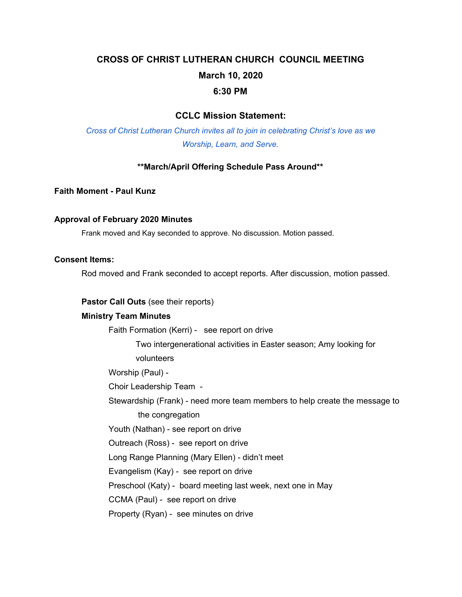# **CROSS OF CHRIST LUTHERAN CHURCH COUNCIL MEETING March 10, 2020 6:30 PM**

## **CCLC Mission Statement:**

*Cross of Christ Lutheran Church invites all to join in celebrating Christ's love as we Worship, Learn, and Serve.*

#### **\*\*March/April Offering Schedule Pass Around\*\***

**Faith Moment - Paul Kunz**

#### **Approval of February 2020 Minutes**

Frank moved and Kay seconded to approve. No discussion. Motion passed.

#### **Consent Items:**

Rod moved and Frank seconded to accept reports. After discussion, motion passed.

#### **Pastor Call Outs** (see their reports)

#### **Ministry Team Minutes**

Faith Formation (Kerri) - see report on drive

Two intergenerational activities in Easter season; Amy looking for volunteers

Worship (Paul) -

Choir Leadership Team -

Stewardship (Frank) - need more team members to help create the message to the congregation

Youth (Nathan) - see report on drive

Outreach (Ross) - see report on drive

Long Range Planning (Mary Ellen) - didn't meet

Evangelism (Kay) - see report on drive

Preschool (Katy) - board meeting last week, next one in May

CCMA (Paul) - see report on drive

Property (Ryan) - see minutes on drive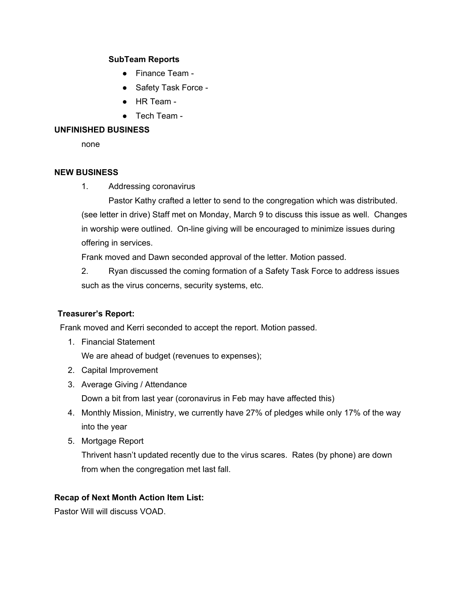## **SubTeam Reports**

- Finance Team -
- Safety Task Force -
- HR Team -
- Tech Team -

## **UNFINISHED BUSINESS**

none

## **NEW BUSINESS**

1. Addressing coronavirus

Pastor Kathy crafted a letter to send to the congregation which was distributed. (see letter in drive) Staff met on Monday, March 9 to discuss this issue as well. Changes in worship were outlined. On-line giving will be encouraged to minimize issues during offering in services.

Frank moved and Dawn seconded approval of the letter. Motion passed.

2. Ryan discussed the coming formation of a Safety Task Force to address issues such as the virus concerns, security systems, etc.

# **Treasurer's Report:**

Frank moved and Kerri seconded to accept the report. Motion passed.

1. Financial Statement

We are ahead of budget (revenues to expenses);

- 2. Capital Improvement
- 3. Average Giving / Attendance

Down a bit from last year (coronavirus in Feb may have affected this)

- 4. Monthly Mission, Ministry, we currently have 27% of pledges while only 17% of the way into the year
- 5. Mortgage Report

Thrivent hasn't updated recently due to the virus scares. Rates (by phone) are down from when the congregation met last fall.

# **Recap of Next Month Action Item List:**

Pastor Will will discuss VOAD.